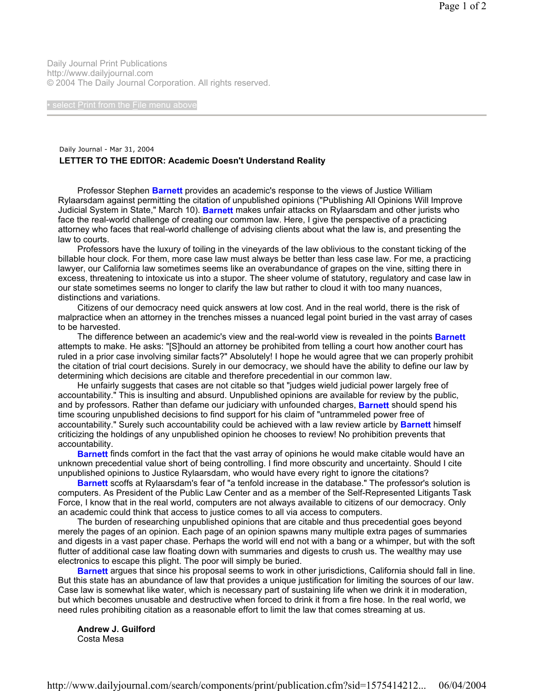Daily Journal Print Publications http://www.dailyjournal.com © 2004 The Daily Journal Corporation. All rights reserved.

## Daily Journal - Mar 31, 2004 **LETTER TO THE EDITOR: Academic Doesn't Understand Reality**

 Professor Stephen **Barnett** provides an academic's response to the views of Justice William Rylaarsdam against permitting the citation of unpublished opinions ("Publishing All Opinions Will Improve Judicial System in State," March 10). **Barnett** makes unfair attacks on Rylaarsdam and other jurists who face the real-world challenge of creating our common law. Here, I give the perspective of a practicing attorney who faces that real-world challenge of advising clients about what the law is, and presenting the law to courts.

 Professors have the luxury of toiling in the vineyards of the law oblivious to the constant ticking of the billable hour clock. For them, more case law must always be better than less case law. For me, a practicing lawyer, our California law sometimes seems like an overabundance of grapes on the vine, sitting there in excess, threatening to intoxicate us into a stupor. The sheer volume of statutory, regulatory and case law in our state sometimes seems no longer to clarify the law but rather to cloud it with too many nuances, distinctions and variations.

 Citizens of our democracy need quick answers at low cost. And in the real world, there is the risk of malpractice when an attorney in the trenches misses a nuanced legal point buried in the vast array of cases to be harvested.

 The difference between an academic's view and the real-world view is revealed in the points **Barnett** attempts to make. He asks: "[S]hould an attorney be prohibited from telling a court how another court has ruled in a prior case involving similar facts?" Absolutely! I hope he would agree that we can properly prohibit the citation of trial court decisions. Surely in our democracy, we should have the ability to define our law by determining which decisions are citable and therefore precedential in our common law.

 He unfairly suggests that cases are not citable so that "judges wield judicial power largely free of accountability." This is insulting and absurd. Unpublished opinions are available for review by the public, and by professors. Rather than defame our judiciary with unfounded charges, **Barnett** should spend his time scouring unpublished decisions to find support for his claim of "untrammeled power free of accountability." Surely such accountability could be achieved with a law review article by **Barnett** himself criticizing the holdings of any unpublished opinion he chooses to review! No prohibition prevents that accountability.

 **Barnett** finds comfort in the fact that the vast array of opinions he would make citable would have an unknown precedential value short of being controlling. I find more obscurity and uncertainty. Should I cite unpublished opinions to Justice Rylaarsdam, who would have every right to ignore the citations?

 **Barnett** scoffs at Rylaarsdam's fear of "a tenfold increase in the database." The professor's solution is computers. As President of the Public Law Center and as a member of the Self-Represented Litigants Task Force, I know that in the real world, computers are not always available to citizens of our democracy. Only an academic could think that access to justice comes to all via access to computers.

 The burden of researching unpublished opinions that are citable and thus precedential goes beyond merely the pages of an opinion. Each page of an opinion spawns many multiple extra pages of summaries and digests in a vast paper chase. Perhaps the world will end not with a bang or a whimper, but with the soft flutter of additional case law floating down with summaries and digests to crush us. The wealthy may use electronics to escape this plight. The poor will simply be buried.

 **Barnett** argues that since his proposal seems to work in other jurisdictions, California should fall in line. But this state has an abundance of law that provides a unique justification for limiting the sources of our law. Case law is somewhat like water, which is necessary part of sustaining life when we drink it in moderation, but which becomes unusable and destructive when forced to drink it from a fire hose. In the real world, we need rules prohibiting citation as a reasonable effort to limit the law that comes streaming at us.

 **Andrew J. Guilford**  Costa Mesa